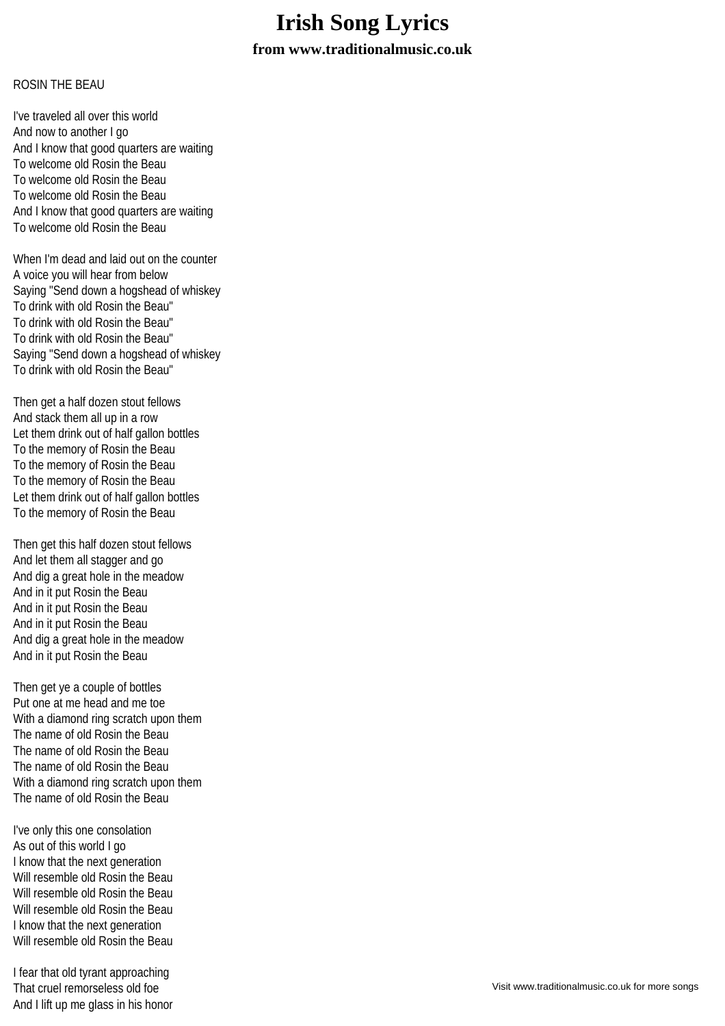## **Irish Song Lyrics**

**from www.traditionalmusic.co.uk**

## ROSIN THE BEAU

I've traveled all over this world And now to another I go And I know that good quarters are waiting To welcome old Rosin the Beau To welcome old Rosin the Beau To welcome old Rosin the Beau And I know that good quarters are waiting To welcome old Rosin the Beau

When I'm dead and laid out on the counter A voice you will hear from below Saying "Send down a hogshead of whiskey To drink with old Rosin the Beau" To drink with old Rosin the Beau" To drink with old Rosin the Beau" Saying "Send down a hogshead of whiskey To drink with old Rosin the Beau"

Then get a half dozen stout fellows And stack them all up in a row Let them drink out of half gallon bottles To the memory of Rosin the Beau To the memory of Rosin the Beau To the memory of Rosin the Beau Let them drink out of half gallon bottles To the memory of Rosin the Beau

Then get this half dozen stout fellows And let them all stagger and go And dig a great hole in the meadow And in it put Rosin the Beau And in it put Rosin the Beau And in it put Rosin the Beau And dig a great hole in the meadow And in it put Rosin the Beau

Then get ye a couple of bottles Put one at me head and me toe With a diamond ring scratch upon them The name of old Rosin the Beau The name of old Rosin the Beau The name of old Rosin the Beau With a diamond ring scratch upon them The name of old Rosin the Beau

I've only this one consolation As out of this world I go I know that the next generation Will resemble old Rosin the Beau Will resemble old Rosin the Beau Will resemble old Rosin the Beau I know that the next generation Will resemble old Rosin the Beau

I fear that old tyrant approaching That cruel remorseless old foe And I lift up me glass in his honor